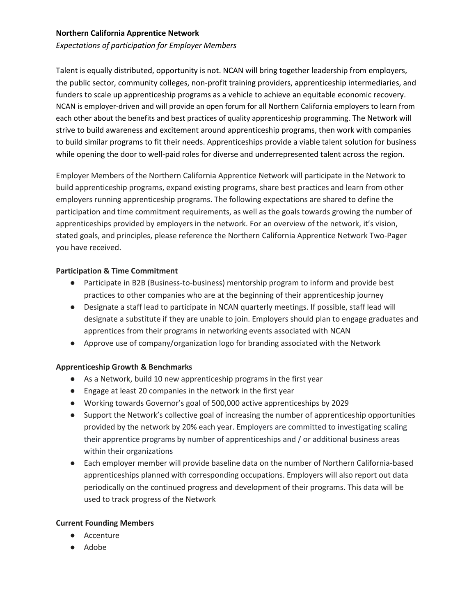# **Northern California Apprentice Network**

*Expectations of participation for Employer Members*

Talent is equally distributed, opportunity is not. NCAN will bring together leadership from employers, the public sector, community colleges, non-profit training providers, apprenticeship intermediaries, and funders to scale up apprenticeship programs as a vehicle to achieve an equitable economic recovery. NCAN is employer-driven and will provide an open forum for all Northern California employers to learn from each other about the benefits and best practices of quality apprenticeship programming. The Network will strive to build awareness and excitement around apprenticeship programs, then work with companies to build similar programs to fit their needs. Apprenticeships provide a viable talent solution for business while opening the door to well-paid roles for diverse and underrepresented talent across the region.

Employer Members of the Northern California Apprentice Network will participate in the Network to build apprenticeship programs, expand existing programs, share best practices and learn from other employers running apprenticeship programs. The following expectations are shared to define the participation and time commitment requirements, as well as the goals towards growing the number of apprenticeships provided by employers in the network. For an overview of the network, it's vision, stated goals, and principles, please reference the Northern California Apprentice Network Two-Pager you have received.

### **Participation & Time Commitment**

- Participate in B2B (Business-to-business) mentorship program to inform and provide best practices to other companies who are at the beginning of their apprenticeship journey
- Designate a staff lead to participate in NCAN quarterly meetings. If possible, staff lead will designate a substitute if they are unable to join. Employers should plan to engage graduates and apprentices from their programs in networking events associated with NCAN
- Approve use of company/organization logo for branding associated with the Network

### **Apprenticeship Growth & Benchmarks**

- As a Network, build 10 new apprenticeship programs in the first year
- Engage at least 20 companies in the network in the first year
- Working towards Governor's goal of 500,000 active apprenticeships by 2029
- Support the Network's collective goal of increasing the number of apprenticeship opportunities provided by the network by 20% each year. Employers are committed to investigating scaling their apprentice programs by number of apprenticeships and / or additional business areas within their organizations
- Each employer member will provide baseline data on the number of Northern California-based apprenticeships planned with corresponding occupations. Employers will also report out data periodically on the continued progress and development of their programs. This data will be used to track progress of the Network

### **Current Founding Members**

- Accenture
- Adobe